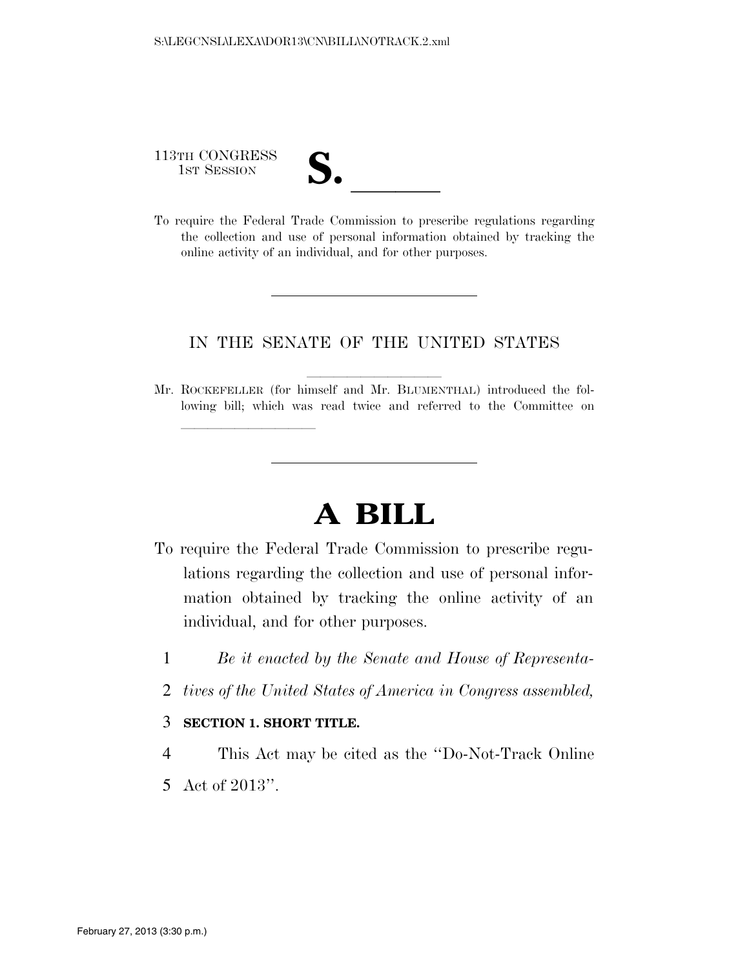113TH CONGRESS

| $\blacksquare$           |  |
|--------------------------|--|
| $\overline{\mathcal{U}}$ |  |

113TH CONGRESS<br>1st SESSION<br>To require the Federal Trade Commission to prescribe regulations regarding the collection and use of personal information obtained by tracking the online activity of an individual, and for other purposes.

### IN THE SENATE OF THE UNITED STATES

Mr. ROCKEFELLER (for himself and Mr. BLUMENTHAL) introduced the following bill; which was read twice and referred to the Committee on

## **A BILL**

- To require the Federal Trade Commission to prescribe regulations regarding the collection and use of personal information obtained by tracking the online activity of an individual, and for other purposes.
	- 1 *Be it enacted by the Senate and House of Representa-*
	- 2 *tives of the United States of America in Congress assembled,*

### 3 **SECTION 1. SHORT TITLE.**

<u>llille som starte som starte som starte som s</u>

- 4 This Act may be cited as the ''Do-Not-Track Online
- 5 Act of 2013''.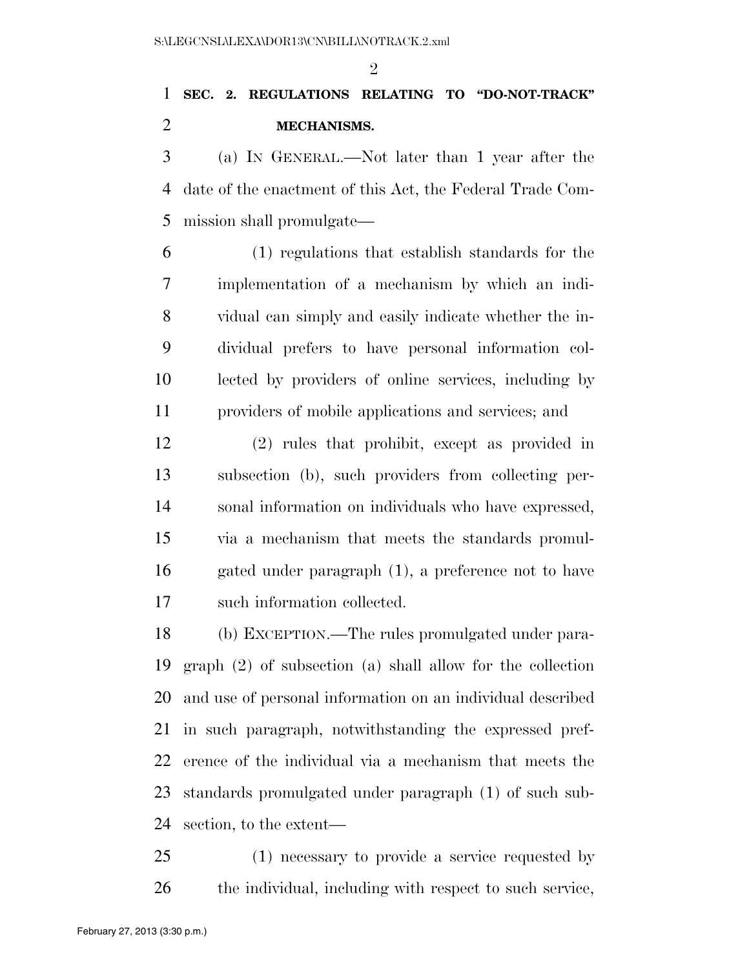# **SEC. 2. REGULATIONS RELATING TO ''DO-NOT-TRACK''**

### **MECHANISMS.**

 (a) IN GENERAL.—Not later than 1 year after the date of the enactment of this Act, the Federal Trade Com-mission shall promulgate—

 (1) regulations that establish standards for the implementation of a mechanism by which an indi- vidual can simply and easily indicate whether the in- dividual prefers to have personal information col- lected by providers of online services, including by providers of mobile applications and services; and

 (2) rules that prohibit, except as provided in subsection (b), such providers from collecting per- sonal information on individuals who have expressed, via a mechanism that meets the standards promul- gated under paragraph (1), a preference not to have such information collected.

 (b) EXCEPTION.—The rules promulgated under para- graph (2) of subsection (a) shall allow for the collection and use of personal information on an individual described in such paragraph, notwithstanding the expressed pref- erence of the individual via a mechanism that meets the standards promulgated under paragraph (1) of such sub-section, to the extent—

 (1) necessary to provide a service requested by 26 the individual, including with respect to such service,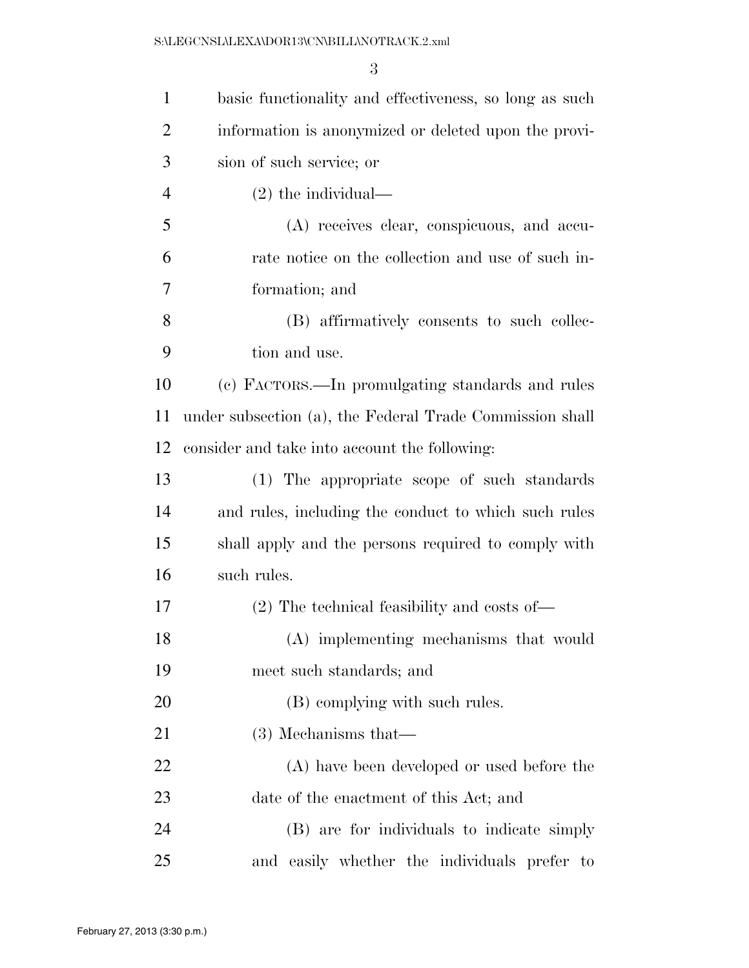| $\mathbf{1}$   | basic functionality and effectiveness, so long as such   |
|----------------|----------------------------------------------------------|
| $\overline{2}$ | information is anonymized or deleted upon the provi-     |
| 3              | sion of such service; or                                 |
| $\overline{4}$ | $(2)$ the individual—                                    |
| 5              | (A) receives clear, conspicuous, and accu-               |
| 6              | rate notice on the collection and use of such in-        |
| 7              | formation; and                                           |
| 8              | (B) affirmatively consents to such collec-               |
| 9              | tion and use.                                            |
| 10             | (c) FACTORS.—In promulgating standards and rules         |
| 11             | under subsection (a), the Federal Trade Commission shall |
| 12             | consider and take into account the following:            |
| 13             | (1) The appropriate scope of such standards              |
| 14             | and rules, including the conduct to which such rules     |
| 15             | shall apply and the persons required to comply with      |
| 16             | such rules.                                              |
| 17             | $(2)$ The technical feasibility and costs of —           |
| 18             | (A) implementing mechanisms that would                   |
| 19             | meet such standards; and                                 |
| 20             | (B) complying with such rules.                           |
| 21             | $(3)$ Mechanisms that—                                   |
| 22             | (A) have been developed or used before the               |
| 23             | date of the enactment of this Act; and                   |
| 24             | (B) are for individuals to indicate simply               |
| 25             | and easily whether the individuals prefer to             |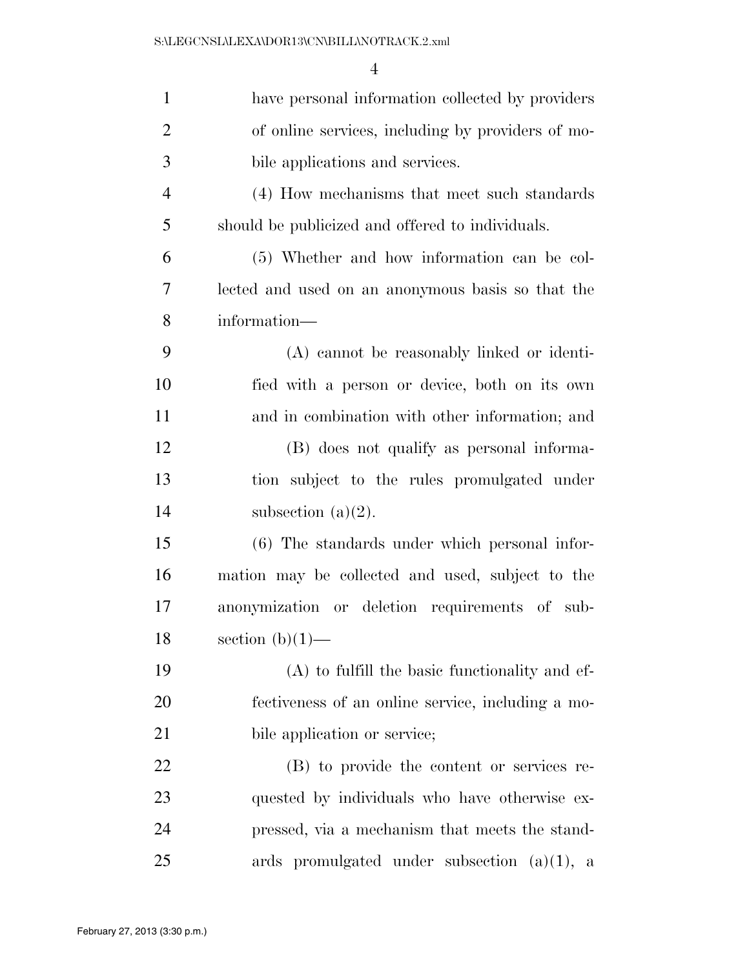| $\mathbf{1}$   | have personal information collected by providers  |
|----------------|---------------------------------------------------|
| $\overline{2}$ | of online services, including by providers of mo- |
| 3              | bile applications and services.                   |
| $\overline{4}$ | (4) How mechanisms that meet such standards       |
| 5              | should be publicized and offered to individuals.  |
| 6              | (5) Whether and how information can be col-       |
| 7              | lected and used on an anonymous basis so that the |
| 8              | information—                                      |
| 9              | (A) cannot be reasonably linked or identi-        |
| 10             | fied with a person or device, both on its own     |
| 11             | and in combination with other information; and    |
| 12             | (B) does not qualify as personal informa-         |
| 13             | tion subject to the rules promulgated under       |
| 14             | subsection $(a)(2)$ .                             |
| 15             | (6) The standards under which personal infor-     |
| 16             | mation may be collected and used, subject to the  |
| 17             | anonymization or deletion requirements of sub-    |
| 18             | section $(b)(1)$ —                                |
| 19             | $(A)$ to fulfill the basic functionality and ef-  |
| 20             | fectiveness of an online service, including a mo- |
| 21             | bile application or service;                      |
| 22             | (B) to provide the content or services re-        |
| 23             | quested by individuals who have otherwise ex-     |
| 24             | pressed, via a mechanism that meets the stand-    |
| 25             | ards promulgated under subsection $(a)(1)$ , a    |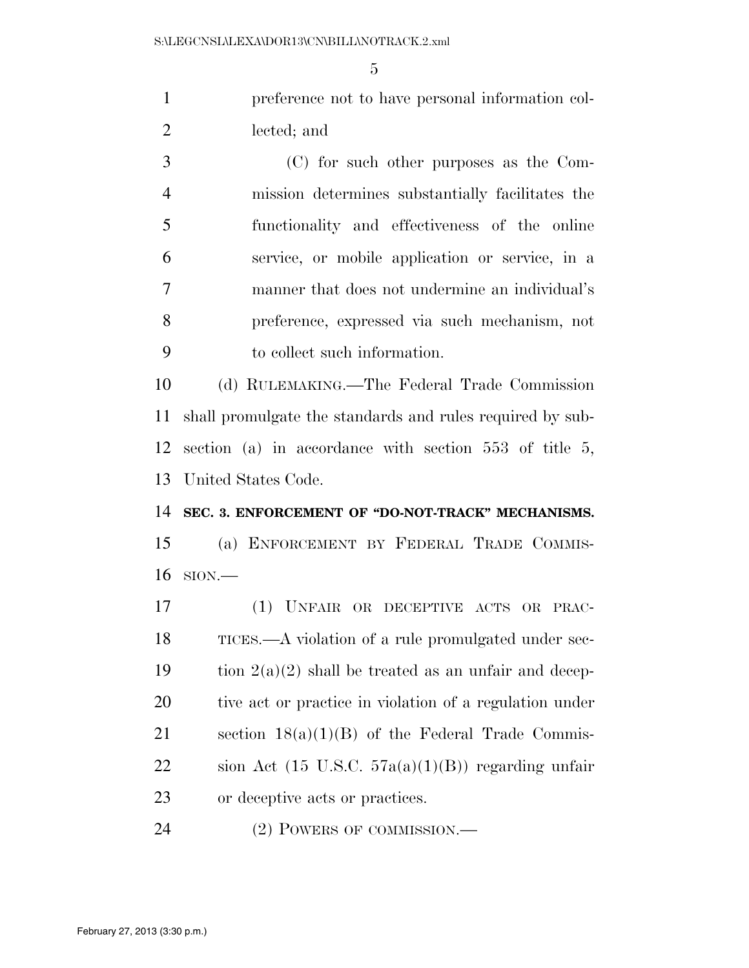preference not to have personal information col-lected; and

 (C) for such other purposes as the Com- mission determines substantially facilitates the functionality and effectiveness of the online service, or mobile application or service, in a manner that does not undermine an individual's preference, expressed via such mechanism, not to collect such information.

 (d) RULEMAKING.—The Federal Trade Commission shall promulgate the standards and rules required by sub- section (a) in accordance with section 553 of title 5, United States Code.

**SEC. 3. ENFORCEMENT OF ''DO-NOT-TRACK'' MECHANISMS.** 

 (a) ENFORCEMENT BY FEDERAL TRADE COMMIS-SION.—

 (1) UNFAIR OR DECEPTIVE ACTS OR PRAC- TICES.—A violation of a rule promulgated under sec-19 tion  $2(a)(2)$  shall be treated as an unfair and decep- tive act or practice in violation of a regulation under section 18(a)(1)(B) of the Federal Trade Commis-22 sion Act (15 U.S.C.  $57a(a)(1)(B)$ ) regarding unfair or deceptive acts or practices.

24 (2) POWERS OF COMMISSION.—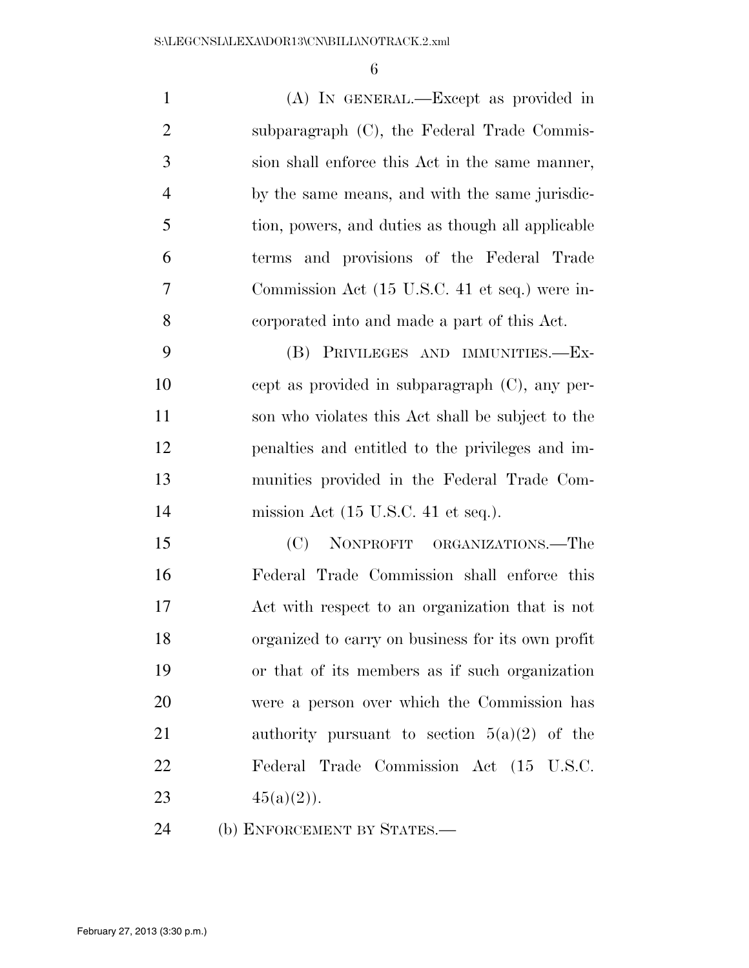| $\mathbf{1}$   | (A) IN GENERAL.—Except as provided in                  |
|----------------|--------------------------------------------------------|
| $\overline{2}$ | subparagraph (C), the Federal Trade Commis-            |
| 3              | sion shall enforce this Act in the same manner,        |
| $\overline{4}$ | by the same means, and with the same jurisdic-         |
| 5              | tion, powers, and duties as though all applicable      |
| 6              | terms and provisions of the Federal Trade              |
| 7              | Commission Act (15 U.S.C. 41 et seq.) were in-         |
| 8              | corporated into and made a part of this Act.           |
| 9              | (B) PRIVILEGES AND IMMUNITIES.—Ex-                     |
| 10             | cept as provided in subparagraph $(C)$ , any per-      |
| 11             | son who violates this Act shall be subject to the      |
| 12             | penalties and entitled to the privileges and im-       |
| 13             | munities provided in the Federal Trade Com-            |
| 14             | mission Act $(15 \text{ U.S.C. } 41 \text{ et seq.}).$ |
| 15             | (C) NONPROFIT ORGANIZATIONS.—The                       |
| 16             | Federal Trade Commission shall enforce this            |
| 17             | Act with respect to an organization that is not        |
| 18             | organized to carry on business for its own profit      |
| 19             | or that of its members as if such organization         |
| 20             | were a person over which the Commission has            |
| 21             | authority pursuant to section $5(a)(2)$ of the         |
| 22             | Federal Trade Commission Act (15 U.S.C.                |
| 23             | $45(a)(2)$ .                                           |
|                |                                                        |

(b) ENFORCEMENT BY STATES.—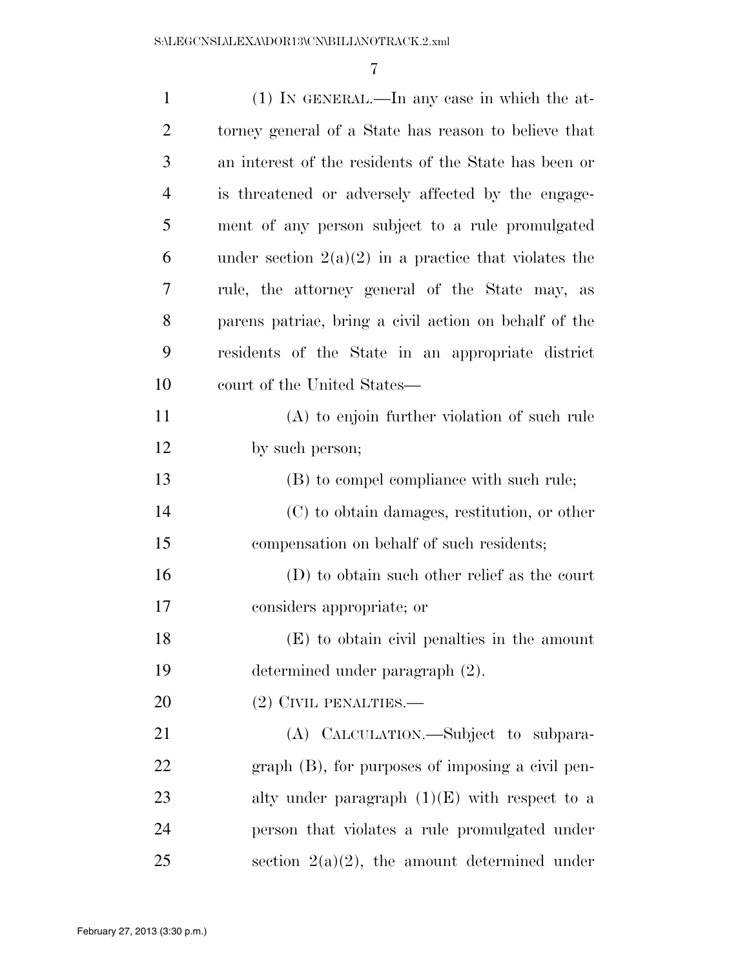| $\mathbf{1}$   | $(1)$ IN GENERAL.—In any case in which the at-          |
|----------------|---------------------------------------------------------|
| $\overline{2}$ | torney general of a State has reason to believe that    |
| 3              | an interest of the residents of the State has been or   |
| $\overline{4}$ | is threatened or adversely affected by the engage-      |
| 5              | ment of any person subject to a rule promulgated        |
| 6              | under section $2(a)(2)$ in a practice that violates the |
| 7              | rule, the attorney general of the State may, as         |
| 8              | parent patrial, bring a civil action on behalf of the   |
| 9              | residents of the State in an appropriate district       |
| 10             | court of the United States—                             |
| 11             | $(A)$ to enjoin further violation of such rule          |
| 12             | by such person;                                         |
| 13             | (B) to compel compliance with such rule;                |
| 14             | (C) to obtain damages, restitution, or other            |
| 15             | compensation on behalf of such residents;               |
| 16             | (D) to obtain such other relief as the court            |
| 17             | considers appropriate; or                               |
| 18             | (E) to obtain civil penalties in the amount             |
| 19             | determined under paragraph (2).                         |
| 20             | $(2)$ CIVIL PENALTIES.—                                 |
| 21             | (A) CALCULATION.—Subject to subpara-                    |
| 22             | graph (B), for purposes of imposing a civil pen-        |
| 23             | alty under paragraph $(1)(E)$ with respect to a         |
| 24             | person that violates a rule promulgated under           |
| 25             | section $2(a)(2)$ , the amount determined under         |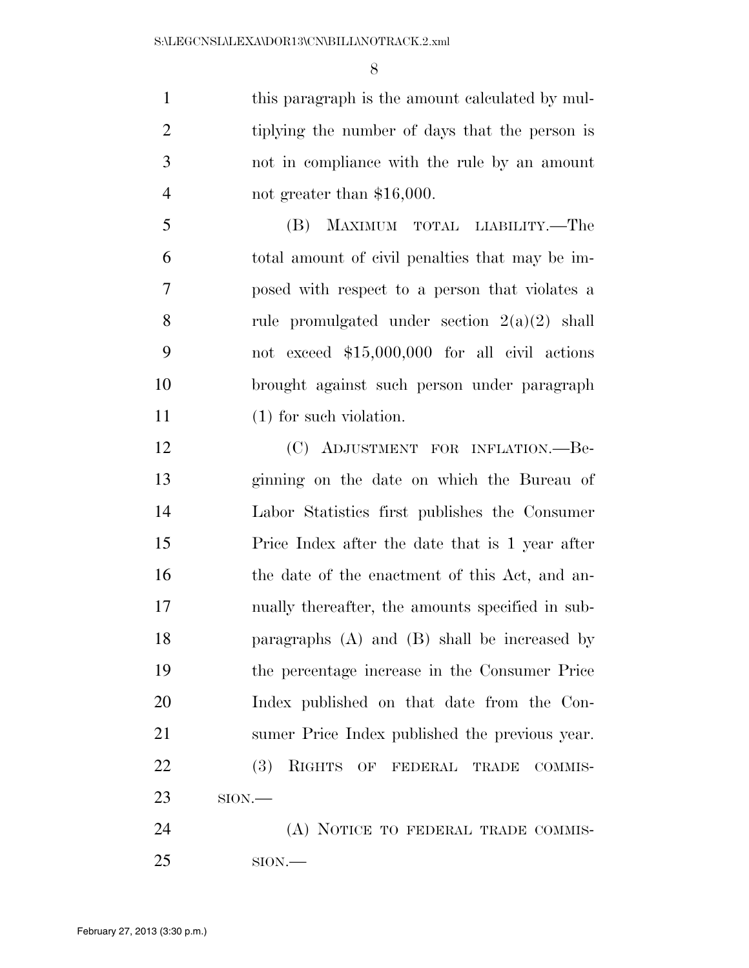1 this paragraph is the amount calculated by mul- tiplying the number of days that the person is not in compliance with the rule by an amount 4 not greater than \$16,000.

 (B) MAXIMUM TOTAL LIABILITY.—The total amount of civil penalties that may be im- posed with respect to a person that violates a 8 rule promulgated under section  $2(a)(2)$  shall not exceed \$15,000,000 for all civil actions brought against such person under paragraph 11 (1) for such violation.

12 (C) ADJUSTMENT FOR INFLATION.—Be- ginning on the date on which the Bureau of Labor Statistics first publishes the Consumer Price Index after the date that is 1 year after 16 the date of the enactment of this Act, and an- nually thereafter, the amounts specified in sub- paragraphs (A) and (B) shall be increased by the percentage increase in the Consumer Price Index published on that date from the Con- sumer Price Index published the previous year. 22 (3) RIGHTS OF FEDERAL TRADE COMMIS-SION.—

24 (A) NOTICE TO FEDERAL TRADE COMMIS-SION.—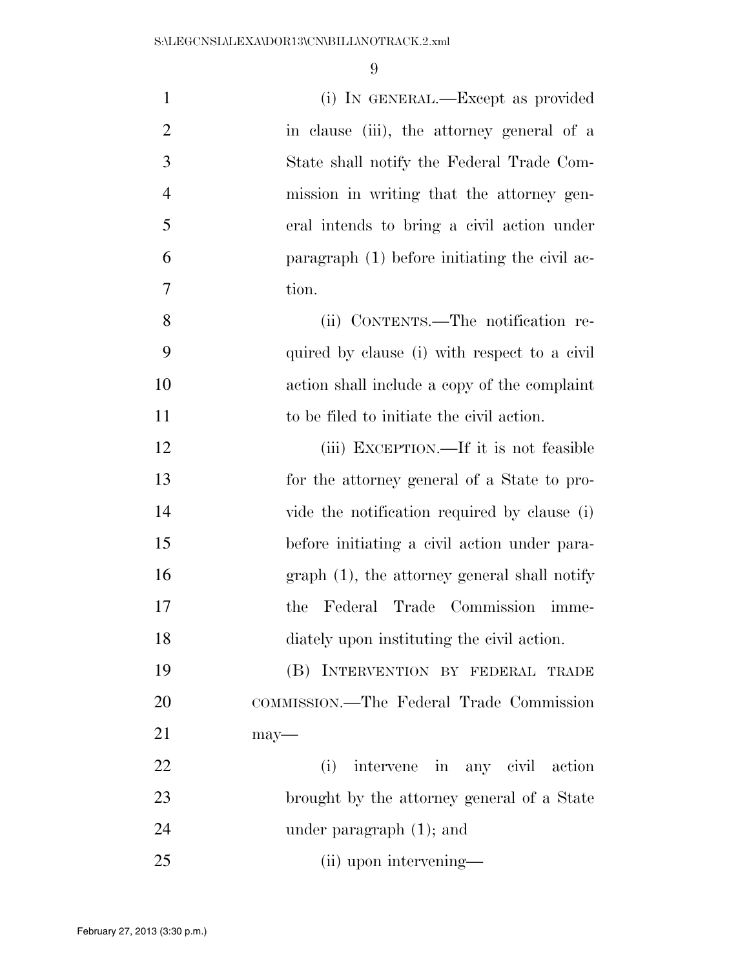| $\mathbf{1}$   | (i) IN GENERAL.—Except as provided             |
|----------------|------------------------------------------------|
| $\overline{2}$ | in clause (iii), the attorney general of a     |
| 3              | State shall notify the Federal Trade Com-      |
| $\overline{4}$ | mission in writing that the attorney gen-      |
| 5              | eral intends to bring a civil action under     |
| 6              | paragraph (1) before initiating the civil ac-  |
| 7              | tion.                                          |
| 8              | (ii) CONTENTS.—The notification re-            |
| 9              | quired by clause (i) with respect to a civil   |
| 10             | action shall include a copy of the complaint   |
| 11             | to be filed to initiate the civil action.      |
| 12             | (iii) EXCEPTION.—If it is not feasible         |
| 13             | for the attorney general of a State to pro-    |
| 14             | vide the notification required by clause (i)   |
| 15             | before initiating a civil action under para-   |
| 16             | $graph(1)$ , the attorney general shall notify |
| 17             | the Federal Trade Commission imme-             |
| 18             | diately upon instituting the civil action.     |
| 19             | (B) INTERVENTION BY FEDERAL TRADE              |
| 20             | COMMISSION.—The Federal Trade Commission       |
| 21             | $may$ —                                        |
| 22             | intervene in any civil action<br>(i)           |
| 23             | brought by the attorney general of a State     |
| 24             | under paragraph $(1)$ ; and                    |
| 25             | (ii) upon intervening—                         |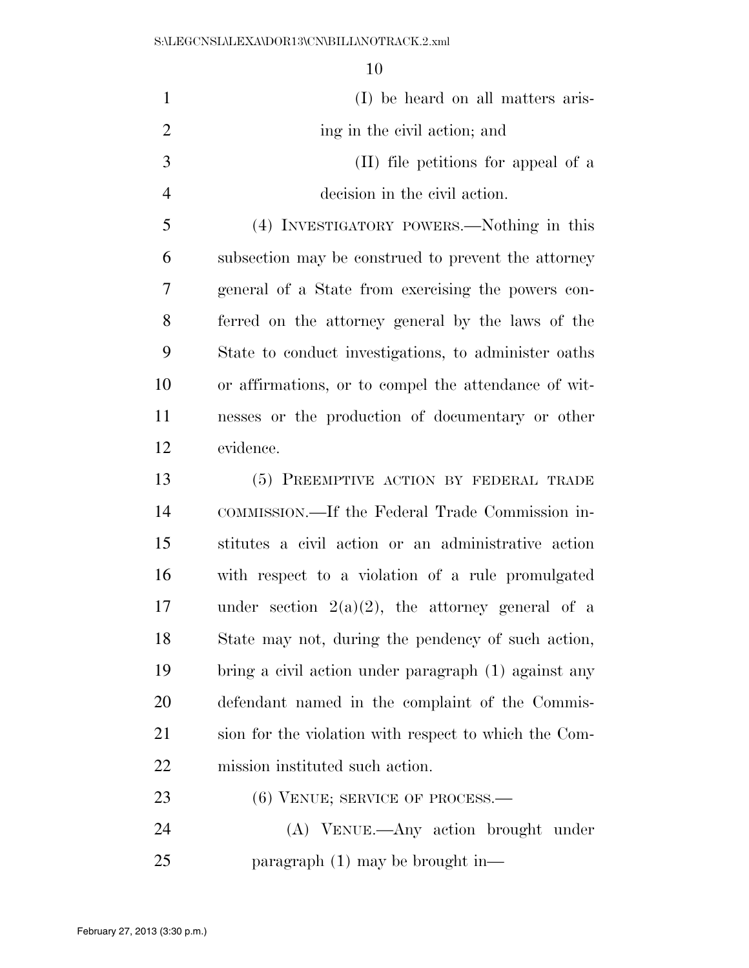$1<sub>0</sub>$ 

|                | ΤA                                                    |
|----------------|-------------------------------------------------------|
| $\mathbf{1}$   | (I) be heard on all matters aris-                     |
| $\overline{2}$ | ing in the civil action; and                          |
| 3              | (II) file petitions for appeal of a                   |
| $\overline{4}$ | decision in the civil action.                         |
| 5              | (4) INVESTIGATORY POWERS.—Nothing in this             |
| 6              | subsection may be construed to prevent the attorney   |
| 7              | general of a State from exercising the powers con-    |
| 8              | ferred on the attorney general by the laws of the     |
| 9              | State to conduct investigations, to administer oaths  |
| 10             | or affirmations, or to compel the attendance of wit-  |
| 11             | nesses or the production of documentary or other      |
| 12             | evidence.                                             |
| 13             | (5) PREEMPTIVE ACTION BY FEDERAL TRADE                |
| 14             | COMMISSION.—If the Federal Trade Commission in-       |
| 15             | stitutes a civil action or an administrative action   |
| 16             | with respect to a violation of a rule promulgated     |
| 17             | under section $2(a)(2)$ , the attorney general of a   |
| 18             | State may not, during the pendency of such action,    |
| 19             | bring a civil action under paragraph (1) against any  |
| 20             | defendant named in the complaint of the Commis-       |
| 21             | sion for the violation with respect to which the Com- |
| 22             | mission instituted such action.                       |
| 23             | $(6)$ VENUE; SERVICE OF PROCESS.—                     |
| 24             | (A) VENUE.—Any action brought under                   |
| 25             | paragraph $(1)$ may be brought in—                    |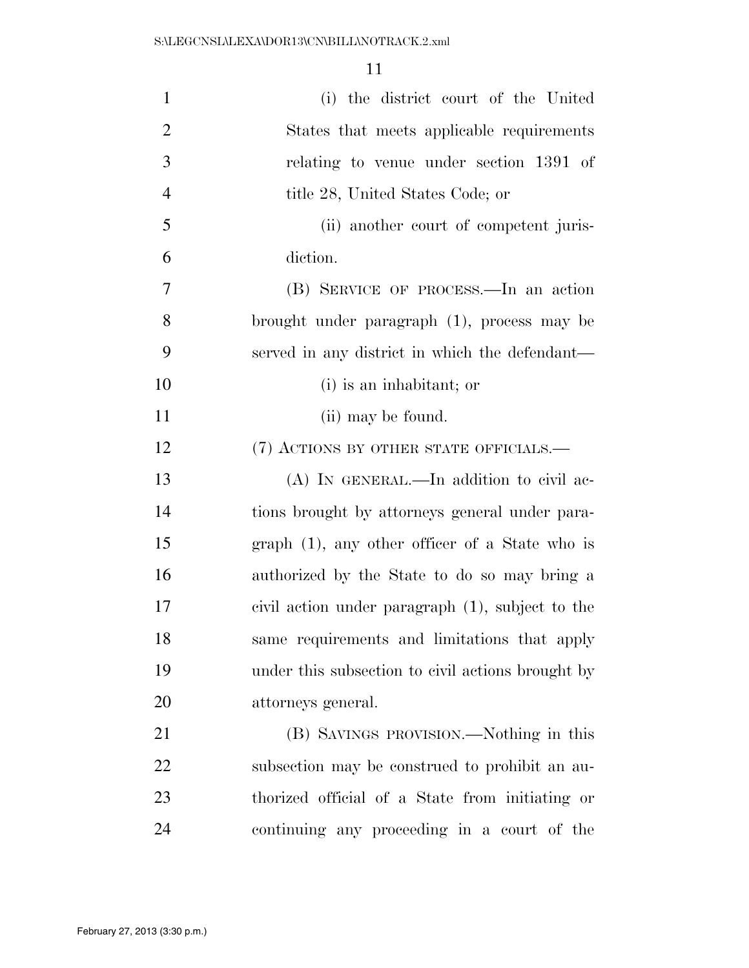| $\mathbf{1}$   | (i) the district court of the United              |
|----------------|---------------------------------------------------|
| $\overline{2}$ | States that meets applicable requirements         |
| 3              | relating to venue under section 1391 of           |
| $\overline{4}$ | title 28, United States Code; or                  |
| 5              | (ii) another court of competent juris-            |
| 6              | diction.                                          |
| 7              | (B) SERVICE OF PROCESS.—In an action              |
| 8              | brought under paragraph (1), process may be       |
| 9              | served in any district in which the defendant—    |
| 10             | (i) is an inhabitant; or                          |
| 11             | (ii) may be found.                                |
| 12             | (7) ACTIONS BY OTHER STATE OFFICIALS.—            |
| 13             | (A) IN GENERAL.—In addition to civil ac-          |
| 14             | tions brought by attorneys general under para-    |
| 15             | $graph(1)$ , any other officer of a State who is  |
| 16             | authorized by the State to do so may bring a      |
| 17             | civil action under paragraph (1), subject to the  |
| 18             | same requirements and limitations that apply      |
| 19             | under this subsection to civil actions brought by |
| 20             | attorneys general.                                |
| 21             | (B) SAVINGS PROVISION.—Nothing in this            |
| 22             | subsection may be construed to prohibit an au-    |
| 23             | thorized official of a State from initiating or   |
| 24             | continuing any proceeding in a court of the       |